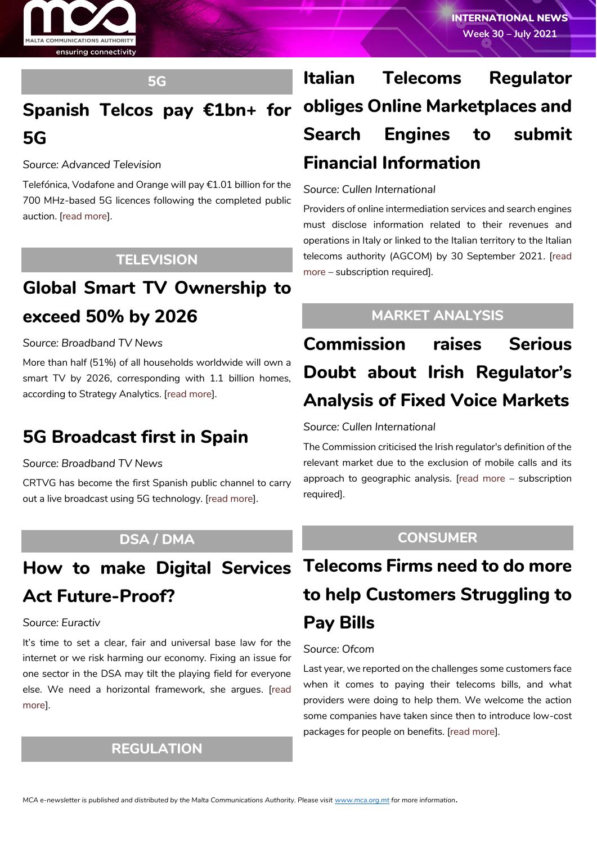

#### **5G**

# **Spanish Telcos pay €1bn+ for 5G**

*Source: Advanced Television*

Telefónica, Vodafone and Orange will pay €1.01 billion for the 700 MHz-based 5G licences following the completed public auction. [\[read more\]](https://advanced-television.com/2021/07/22/spanish-telcos-pay-e1bn-for-5g/).

### **TELEVISION**

# **Global Smart TV Ownership to exceed 50% by 2026**

#### *Source: Broadband TV News*

More than half (51%) of all households worldwide will own a smart TV by 2026, corresponding with 1.1 billion homes, according to Strategy Analytics. [\[read more\]](https://www.broadbandtvnews.com/2021/07/20/global-smart-tv-ownership-to-exceed-50-by-2026/).

## **5G Broadcast first in Spain**

*Source: Broadband TV News*

CRTVG has become the first Spanish public channel to carry out a live broadcast using 5G technology. [\[read more\]](https://www.broadbandtvnews.com/2021/07/26/5g-broadcast-first-in-spain/).

### **DSA / DMA**

# **Act Future-Proof?**

#### *Source: Euractiv*

It's time to set a clear, fair and universal base law for the internet or we risk harming our economy. Fixing an issue for one sector in the DSA may tilt the playing field for everyone else. We need a horizontal framework, she argues. [\[read](https://www.euractiv.com/section/digital/opinion/how-to-make-digital-services-act-future-proof/)  [more\]](https://www.euractiv.com/section/digital/opinion/how-to-make-digital-services-act-future-proof/).

### **REGULATION**

# **Italian Telecoms Regulator obliges Online Marketplaces and Search Engines to submit Financial Information**

#### *Source: Cullen International*

Providers of online intermediation services and search engines must disclose information related to their revenues and operations in Italy or linked to the Italian territory to the Italian telecoms authority (AGCOM) by 30 September 2021. [\[read](https://www.cullen-international.com/client/site/documents/FLECIT20210007)  [more](https://www.cullen-international.com/client/site/documents/FLECIT20210007) – subscription required].

### **MARKET ANALYSIS**

# **Commission raises Serious Doubt about Irish Regulator's Analysis of Fixed Voice Markets**

#### *Source: Cullen International*

The Commission criticised the Irish regulator's definition of the relevant market due to the exclusion of mobile calls and its approach to geographic analysis. [\[read more](https://www.cullen-international.com/client/site/documents/FLTEIE20210001) – subscription required].

### **CONSUMER**

# **How to make Digital Services Telecoms Firms need to do more to help Customers Struggling to Pay Bills**

#### *Source: Ofcom*

Last year, we reported on the challenges some customers face when it comes to paying their telecoms bills, and what providers were doing to help them. We welcome the action some companies have taken since then to introduce low-cost packages for people on benefits. [\[read more\]](https://www.ofcom.org.uk/about-ofcom/latest/features-and-news/help-customers-struggling-to-pay-bills).